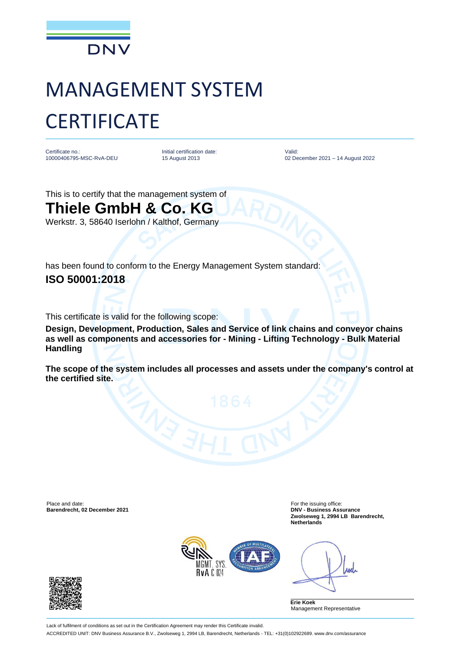

## MANAGEMENT SYSTEM **CERTIFICATE**

Certificate no.: 10000406795-MSC-RvA-DEU Initial certification date: 15 August 2013

Valid: 02 December 2021 – 14 August 2022

This is to certify that the management system of **Thiele GmbH & Co. KG** Werkstr. 3, 58640 Iserlohn / Kalthof, Germany

has been found to conform to the Energy Management System standard: **ISO 50001:2018**

This certificate is valid for the following scope:

**Design, Development, Production, Sales and Service of link chains and conveyor chains as well as components and accessories for - Mining - Lifting Technology - Bulk Material Handling** 

**The scope of the system includes all processes and assets under the company's control at the certified site.**

Place and date: For the issuing office:<br> **Barendrecht, 02 December 2021** Contract and the interval of the issuing office: **For the issuing office: Barendrecht, 02 December 2021 Barendrecht, 02 December 2021** 

**Zwolseweg 1, 2994 LB Barendrecht, Netherlands**



Ane

**Erie Koek** Management Representative

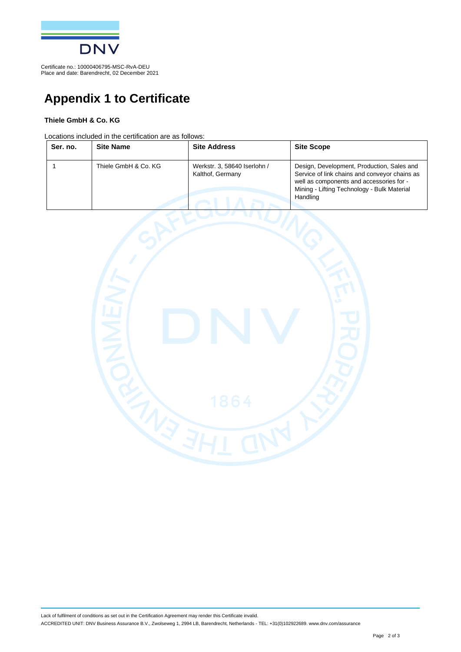

Certificate no.: 10000406795-MSC-RvA-DEU Place and date: Barendrecht, 02 December 2021

## **Appendix 1 to Certificate**

## **Thiele GmbH & Co. KG**

Locations included in the certification are as follows:

| Ser. no. | <b>Site Name</b>     | <b>Site Address</b>                              | <b>Site Scope</b>                                                                                                                                                                                  |
|----------|----------------------|--------------------------------------------------|----------------------------------------------------------------------------------------------------------------------------------------------------------------------------------------------------|
|          | Thiele GmbH & Co. KG | Werkstr. 3, 58640 Iserlohn /<br>Kalthof, Germany | Design, Development, Production, Sales and<br>Service of link chains and conveyor chains as<br>well as components and accessories for -<br>Mining - Lifting Technology - Bulk Material<br>Handling |